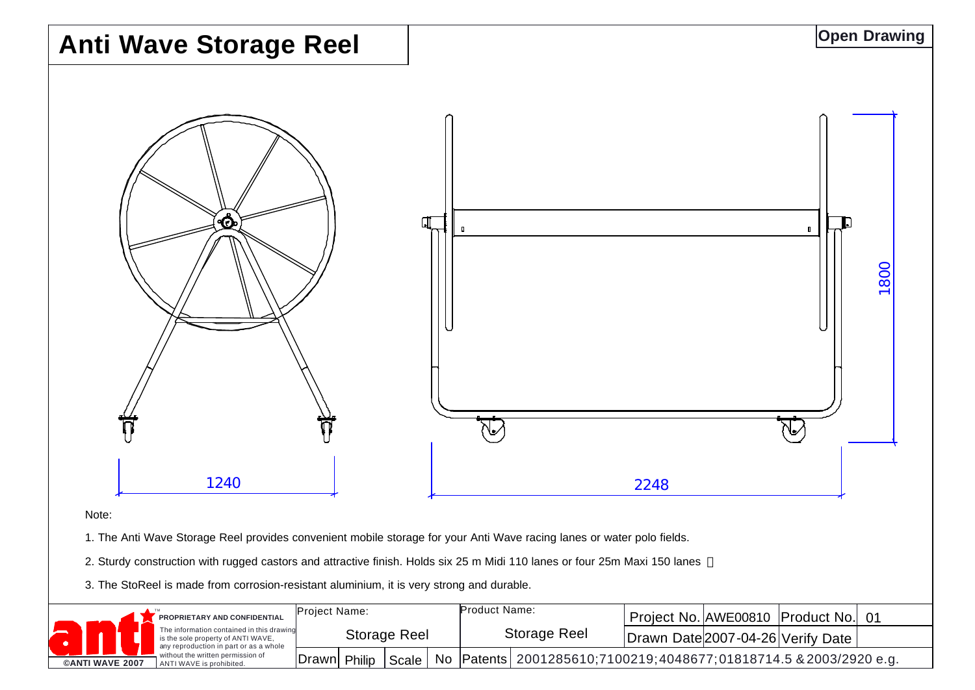